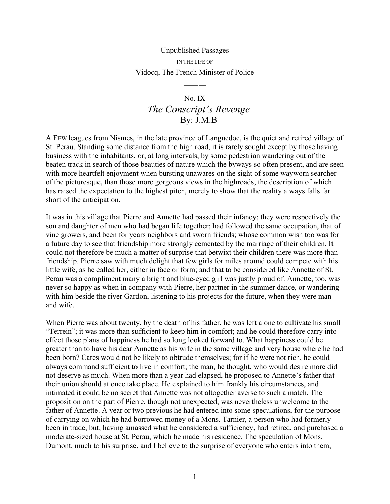## Unpublished Passages IN THE LIFE OF Vidocq, The French Minister of Police

―――

## No. IX *The Conscript's Revenge* By: J.M.B

A FEW leagues from Nismes, in the late province of Languedoc, is the quiet and retired village of St. Perau. Standing some distance from the high road, it is rarely sought except by those having business with the inhabitants, or, at long intervals, by some pedestrian wandering out of the beaten track in search of those beauties of nature which the byways so often present, and are seen with more heartfelt enjoyment when bursting unawares on the sight of some wayworn searcher of the picturesque, than those more gorgeous views in the highroads, the description of which has raised the expectation to the highest pitch, merely to show that the reality always falls far short of the anticipation.

It was in this village that Pierre and Annette had passed their infancy; they were respectively the son and daughter of men who had began life together; had followed the same occupation, that of vine growers, and been for years neighbors and sworn friends; whose common wish too was for a future day to see that friendship more strongly cemented by the marriage of their children. It could not therefore be much a matter of surprise that betwixt their children there was more than friendship. Pierre saw with much delight that few girls for miles around could compete with his little wife, as he called her, either in face or form; and that to be considered like Annette of St. Perau was a compliment many a bright and blue-eyed girl was justly proud of. Annette, too, was never so happy as when in company with Pierre, her partner in the summer dance, or wandering with him beside the river Gardon, listening to his projects for the future, when they were man and wife.

When Pierre was about twenty, by the death of his father, he was left alone to cultivate his small "Terrein"; it was more than sufficient to keep him in comfort; and he could therefore carry into effect those plans of happiness he had so long looked forward to. What happiness could be greater than to have his dear Annette as his wife in the same village and very house where he had been born? Cares would not be likely to obtrude themselves; for if he were not rich, he could always command sufficient to live in comfort; the man, he thought, who would desire more did not deserve as much. When more than a year had elapsed, he proposed to Annette's father that their union should at once take place. He explained to him frankly his circumstances, and intimated it could be no secret that Annette was not altogether averse to such a match. The proposition on the part of Pierre, though not unexpected, was nevertheless unwelcome to the father of Annette. A year or two previous he had entered into some speculations, for the purpose of carrying on which he had borrowed money of a Mons. Tarnier, a person who had formerly been in trade, but, having amassed what he considered a sufficiency, had retired, and purchased a moderate-sized house at St. Perau, which he made his residence. The speculation of Mons. Dumont, much to his surprise, and I believe to the surprise of everyone who enters into them,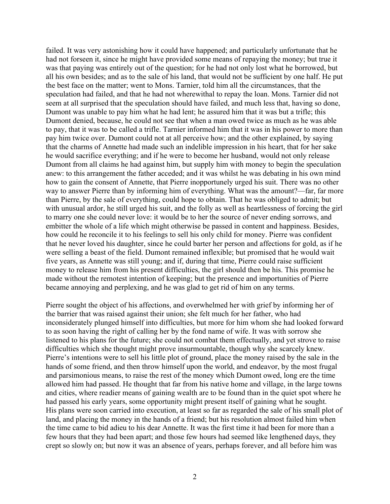failed. It was very astonishing how it could have happened; and particularly unfortunate that he had not forseen it, since he might have provided some means of repaying the money; but true it was that paying was entirely out of the question; for he had not only lost what he borrowed, but all his own besides; and as to the sale of his land, that would not be sufficient by one half. He put the best face on the matter; went to Mons. Tarnier, told him all the circumstances, that the speculation had failed, and that he had not wherewithal to repay the loan. Mons. Tarnier did not seem at all surprised that the speculation should have failed, and much less that, having so done, Dumont was unable to pay him what he had lent; he assured him that it was but a trifle; this Dumont denied, because, he could not see that when a man owed twice as much as he was able to pay, that it was to be called a trifle. Tarnier informed him that it was in his power to more than pay him twice over. Dumont could not at all perceive how; and the other explained, by saying that the charms of Annette had made such an indelible impression in his heart, that for her sake he would sacrifice everything; and if he were to become her husband, would not only release Dumont from all claims he had against him, but supply him with money to begin the speculation anew: to this arrangement the father acceded; and it was whilst he was debating in his own mind how to gain the consent of Annette, that Pierre inopportunely urged his suit. There was no other way to answer Pierre than by informing him of everything. What was the amount?—far, far more than Pierre, by the sale of everything, could hope to obtain. That he was obliged to admit; but with unusual ardor, he still urged his suit, and the folly as well as heartlessness of forcing the girl to marry one she could never love: it would be to her the source of never ending sorrows, and embitter the whole of a life which might otherwise be passed in content and happiness. Besides, how could he reconcile it to his feelings to sell his only child for money. Pierre was confident that he never loved his daughter, since he could barter her person and affections for gold, as if he were selling a beast of the field. Dumont remained inflexible; but promised that he would wait five years, as Annette was still young; and if, during that time, Pierre could raise sufficient money to release him from his present difficulties, the girl should then be his. This promise he made without the remotest intention of keeping; but the presence and importunities of Pierre became annoying and perplexing, and he was glad to get rid of him on any terms.

Pierre sought the object of his affections, and overwhelmed her with grief by informing her of the barrier that was raised against their union; she felt much for her father, who had inconsiderately plunged himself into difficulties, but more for him whom she had looked forward to as soon having the right of calling her by the fond name of wife. It was with sorrow she listened to his plans for the future; she could not combat them effectually, and yet strove to raise difficulties which she thought might prove insurmountable, though why she scarcely knew. Pierre's intentions were to sell his little plot of ground, place the money raised by the sale in the hands of some friend, and then throw himself upon the world, and endeavor, by the most frugal and parsimonious means, to raise the rest of the money which Dumont owed, long ere the time allowed him had passed. He thought that far from his native home and village, in the large towns and cities, where readier means of gaining wealth are to be found than in the quiet spot where he had passed his early years, some opportunity might present itself of gaining what he sought. His plans were soon carried into execution, at least so far as regarded the sale of his small plot of land, and placing the money in the hands of a friend; but his resolution almost failed him when the time came to bid adieu to his dear Annette. It was the first time it had been for more than a few hours that they had been apart; and those few hours had seemed like lengthened days, they crept so slowly on; but now it was an absence of years, perhaps forever, and all before him was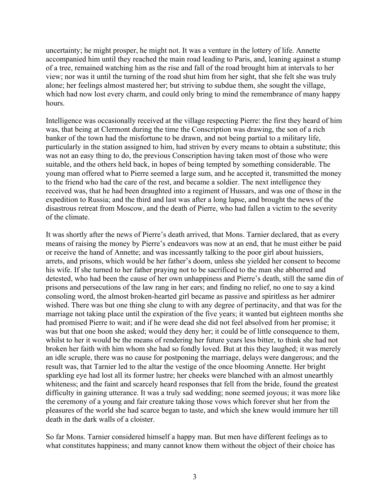uncertainty; he might prosper, he might not. It was a venture in the lottery of life. Annette accompanied him until they reached the main road leading to Paris, and, leaning against a stump of a tree, remained watching him as the rise and fall of the road brought him at intervals to her view; nor was it until the turning of the road shut him from her sight, that she felt she was truly alone; her feelings almost mastered her; but striving to subdue them, she sought the village, which had now lost every charm, and could only bring to mind the remembrance of many happy hours.

Intelligence was occasionally received at the village respecting Pierre: the first they heard of him was, that being at Clermont during the time the Conscription was drawing, the son of a rich banker of the town had the misfortune to be drawn, and not being partial to a military life, particularly in the station assigned to him, had striven by every means to obtain a substitute; this was not an easy thing to do, the previous Conscription having taken most of those who were suitable, and the others held back, in hopes of being tempted by something considerable. The young man offered what to Pierre seemed a large sum, and he accepted it, transmitted the money to the friend who had the care of the rest, and became a soldier. The next intelligence they received was, that he had been draughted into a regiment of Hussars, and was one of those in the expedition to Russia; and the third and last was after a long lapse, and brought the news of the disastrous retreat from Moscow, and the death of Pierre, who had fallen a victim to the severity of the climate.

It was shortly after the news of Pierre's death arrived, that Mons. Tarnier declared, that as every means of raising the money by Pierre's endeavors was now at an end, that he must either be paid or receive the hand of Annette; and was incessantly talking to the poor girl about huissiers, arrets, and prisons, which would be her father's doom, unless she yielded her consent to become his wife. If she turned to her father praying not to be sacrificed to the man she abhorred and detested, who had been the cause of her own unhappiness and Pierre's death, still the same din of prisons and persecutions of the law rang in her ears; and finding no relief, no one to say a kind consoling word, the almost broken-hearted girl became as passive and spiritless as her admirer wished. There was but one thing she clung to with any degree of pertinacity, and that was for the marriage not taking place until the expiration of the five years; it wanted but eighteen months she had promised Pierre to wait; and if he were dead she did not feel absolved from her promise; it was but that one boon she asked; would they deny her; it could be of little consequence to them, whilst to her it would be the means of rendering her future years less bitter, to think she had not broken her faith with him whom she had so fondly loved. But at this they laughed; it was merely an idle scruple, there was no cause for postponing the marriage, delays were dangerous; and the result was, that Tarnier led to the altar the vestige of the once blooming Annette. Her bright sparkling eye had lost all its former lustre; her cheeks were blanched with an almost unearthly whiteness; and the faint and scarcely heard responses that fell from the bride, found the greatest difficulty in gaining utterance. It was a truly sad wedding; none seemed joyous; it was more like the ceremony of a young and fair creature taking those vows which forever shut her from the pleasures of the world she had scarce began to taste, and which she knew would immure her till death in the dark walls of a cloister.

So far Mons. Tarnier considered himself a happy man. But men have different feelings as to what constitutes happiness; and many cannot know them without the object of their choice has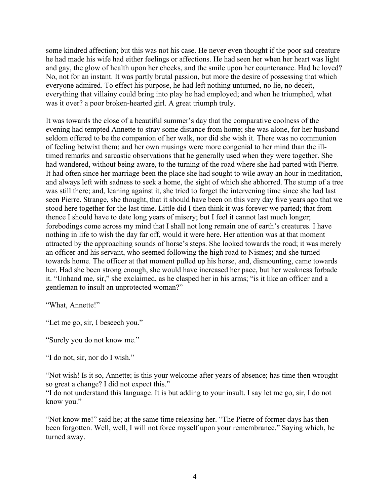some kindred affection; but this was not his case. He never even thought if the poor sad creature he had made his wife had either feelings or affections. He had seen her when her heart was light and gay, the glow of health upon her cheeks, and the smile upon her countenance. Had he loved? No, not for an instant. It was partly brutal passion, but more the desire of possessing that which everyone admired. To effect his purpose, he had left nothing unturned, no lie, no deceit, everything that villainy could bring into play he had employed; and when he triumphed, what was it over? a poor broken-hearted girl. A great triumph truly.

It was towards the close of a beautiful summer's day that the comparative coolness of the evening had tempted Annette to stray some distance from home; she was alone, for her husband seldom offered to be the companion of her walk, nor did she wish it. There was no communion of feeling betwixt them; and her own musings were more congenial to her mind than the illtimed remarks and sarcastic observations that he generally used when they were together. She had wandered, without being aware, to the turning of the road where she had parted with Pierre. It had often since her marriage been the place she had sought to wile away an hour in meditation, and always left with sadness to seek a home, the sight of which she abhorred. The stump of a tree was still there; and, leaning against it, she tried to forget the intervening time since she had last seen Pierre. Strange, she thought, that it should have been on this very day five years ago that we stood here together for the last time. Little did I then think it was forever we parted; that from thence I should have to date long years of misery; but I feel it cannot last much longer; forebodings come across my mind that I shall not long remain one of earth's creatures. I have nothing in life to wish the day far off, would it were here. Her attention was at that moment attracted by the approaching sounds of horse's steps. She looked towards the road; it was merely an officer and his servant, who seemed following the high road to Nismes; and she turned towards home. The officer at that moment pulled up his horse, and, dismounting, came towards her. Had she been strong enough, she would have increased her pace, but her weakness forbade it. "Unhand me, sir," she exclaimed, as he clasped her in his arms; "is it like an officer and a gentleman to insult an unprotected woman?"

"What, Annette!"

"Let me go, sir, I beseech you."

"Surely you do not know me."

"I do not, sir, nor do I wish."

"Not wish! Is it so, Annette; is this your welcome after years of absence; has time then wrought so great a change? I did not expect this."

"I do not understand this language. It is but adding to your insult. I say let me go, sir, I do not know you."

"Not know me!" said he; at the same time releasing her. "The Pierre of former days has then been forgotten. Well, well, I will not force myself upon your remembrance." Saying which, he turned away.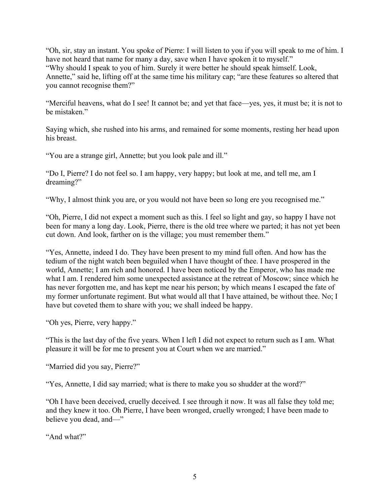"Oh, sir, stay an instant. You spoke of Pierre: I will listen to you if you will speak to me of him. I have not heard that name for many a day, save when I have spoken it to myself." "Why should I speak to you of him. Surely it were better he should speak himself. Look, Annette," said he, lifting off at the same time his military cap; "are these features so altered that you cannot recognise them?"

"Merciful heavens, what do I see! It cannot be; and yet that face—yes, yes, it must be; it is not to be mistaken."

Saying which, she rushed into his arms, and remained for some moments, resting her head upon his breast.

"You are a strange girl, Annette; but you look pale and ill."

"Do I, Pierre? I do not feel so. I am happy, very happy; but look at me, and tell me, am I dreaming?"

"Why, I almost think you are, or you would not have been so long ere you recognised me."

"Oh, Pierre, I did not expect a moment such as this. I feel so light and gay, so happy I have not been for many a long day. Look, Pierre, there is the old tree where we parted; it has not yet been cut down. And look, farther on is the village; you must remember them."

"Yes, Annette, indeed I do. They have been present to my mind full often. And how has the tedium of the night watch been beguiled when I have thought of thee. I have prospered in the world, Annette; I am rich and honored. I have been noticed by the Emperor, who has made me what I am. I rendered him some unexpected assistance at the retreat of Moscow; since which he has never forgotten me, and has kept me near his person; by which means I escaped the fate of my former unfortunate regiment. But what would all that I have attained, be without thee. No; I have but coveted them to share with you; we shall indeed be happy.

"Oh yes, Pierre, very happy."

"This is the last day of the five years. When I left I did not expect to return such as I am. What pleasure it will be for me to present you at Court when we are married."

"Married did you say, Pierre?"

"Yes, Annette, I did say married; what is there to make you so shudder at the word?"

"Oh I have been deceived, cruelly deceived. I see through it now. It was all false they told me; and they knew it too. Oh Pierre, I have been wronged, cruelly wronged; I have been made to believe you dead, and—"

"And what?"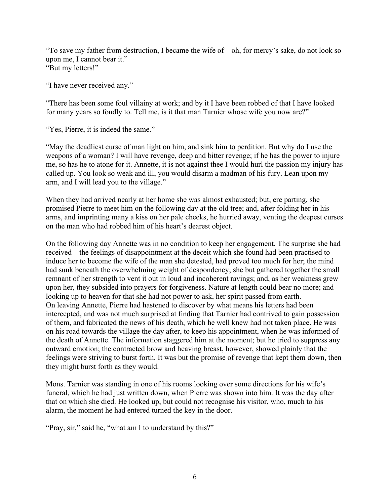"To save my father from destruction, I became the wife of—oh, for mercy's sake, do not look so upon me, I cannot bear it." "But my letters!"

"I have never received any."

"There has been some foul villainy at work; and by it I have been robbed of that I have looked for many years so fondly to. Tell me, is it that man Tarnier whose wife you now are?"

"Yes, Pierre, it is indeed the same."

"May the deadliest curse of man light on him, and sink him to perdition. But why do I use the weapons of a woman? I will have revenge, deep and bitter revenge; if he has the power to injure me, so has he to atone for it. Annette, it is not against thee I would hurl the passion my injury has called up. You look so weak and ill, you would disarm a madman of his fury. Lean upon my arm, and I will lead you to the village."

When they had arrived nearly at her home she was almost exhausted; but, ere parting, she promised Pierre to meet him on the following day at the old tree; and, after folding her in his arms, and imprinting many a kiss on her pale cheeks, he hurried away, venting the deepest curses on the man who had robbed him of his heart's dearest object.

On the following day Annette was in no condition to keep her engagement. The surprise she had received—the feelings of disappointment at the deceit which she found had been practised to induce her to become the wife of the man she detested, had proved too much for her; the mind had sunk beneath the overwhelming weight of despondency; she but gathered together the small remnant of her strength to vent it out in loud and incoherent ravings; and, as her weakness grew upon her, they subsided into prayers for forgiveness. Nature at length could bear no more; and looking up to heaven for that she had not power to ask, her spirit passed from earth. On leaving Annette, Pierre had hastened to discover by what means his letters had been intercepted, and was not much surprised at finding that Tarnier had contrived to gain possession of them, and fabricated the news of his death, which he well knew had not taken place. He was on his road towards the village the day after, to keep his appointment, when he was informed of the death of Annette. The information staggered him at the moment; but he tried to suppress any outward emotion; the contracted brow and heaving breast, however, showed plainly that the feelings were striving to burst forth. It was but the promise of revenge that kept them down, then they might burst forth as they would.

Mons. Tarnier was standing in one of his rooms looking over some directions for his wife's funeral, which he had just written down, when Pierre was shown into him. It was the day after that on which she died. He looked up, but could not recognise his visitor, who, much to his alarm, the moment he had entered turned the key in the door.

"Pray, sir," said he, "what am I to understand by this?"